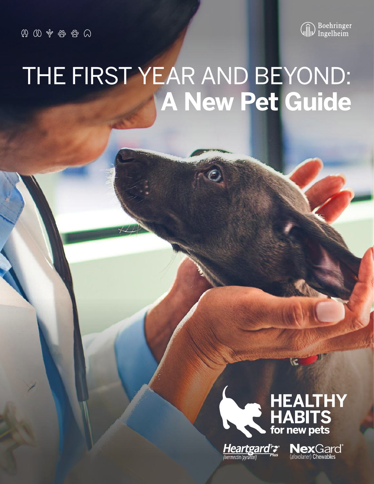00 \$ 88 \$ 0



# THE FIRST YEAR AND BEYOND: **A New Pet Guide**



Heartgard<sup>re</sup>

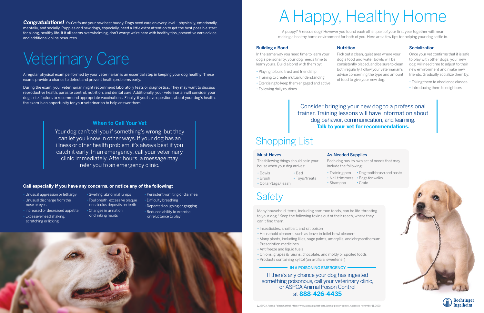# Veterinary Care

A regular physical exam performed by your veterinarian is an essential step in keeping your dog healthy. These exams provide a chance to detect and prevent health problems early.

During the exam, your veterinarian might recommend laboratory tests or diagnostics. They may want to discuss reproductive health, parasite control, nutrition, and dental care. Additionally, your veterinarian will consider your dog's risk factors to recommend appropriate vaccinations. Finally, if you have questions about your dog's health, the exam is an opportunity for your veterinarian to help answer them.

#### Building a Bond

- Training pen Dog toothbrush and paste
- Nail trimmers Bags for walks
	- Crate





In the same way you need time to learn your dog's personality, your dog needs time to learn yours. Build a bond with them by:

- Taking them to obedience classes
- Introducing them to neighbors
- Playing to build trust and friendship
- Training to create mutual understanding
- Exercising to keep them engaged and active
- Following daily routines

# **Talk to Call Your Vet Talk to your vet for recommendations.**

#### Must-Haves

The following things should be in your house when your dog arrives:

- Bowls
- Brush • Toys/treats
- Collar/tags/leash

• Bed

#### As-Needed Supplies

Each dog has its own set of needs that may

include the following:

- 
- Shampoo

**Safety** 

Once your vet confirms that it is safe to play with other dogs, your new dog will need time to adjust to their new environment and make new friends. Gradually socialize them by:

Nutrition Pick out a clean, quiet area where your dog's food and water bowls will be consistently placed, and be sure to clean both regularly. Follow your veterinarian's advice concerning the type and amount of food to give your new dog.

#### **Socialization**

A puppy? A rescue dog? However you found each other, part of your first year together will mean making a healthy home environment for both of you. Here are a few tips for helping your dog settle in.

- Unusual aggression or lethargy
- Unusual discharge from the nose or eyes
- Increased or decreased appetite
- Excessive head shaking, scratching or licking
- Swelling, abnormal lumps • Foul breath, excessive plaque
- or calculus deposits on teeth • Changes in urination
- or drinking habits
- Persistent vomiting or diarrhea • Difficulty breathing • Repeated coughing or gagging
- Reduced ability to exercise or reluctance to play



Many household items, including common foods, can be life-threating to your dog.<sup>1</sup> Keep the following toxins out of their reach, where they can't find them.

- Insecticides, snail bait, and rat poison
- Household cleaners, such as leave-in toilet bowl cleaners
- Many plants, including lilies, sago palms, amaryllis, and chrysanthemum
- Prescription medicines
- Antifreeze and liquid fuels
- Onions, grapes & raisins, chocolate, and moldy or spoiled foods
- Products containing xylitol (an artificial sweetener)

#### - IN A POISONING EMERGENCY

# A Happy, Healthy Home

### Shopping List

Consider bringing your new dog to a professional trainer. Training lessons will have information about dog behavior, communication, and learning.

Your dog can't tell you if something's wrong, but they can let you know in other ways. If your dog has an illness or other health problem, it's always best if you catch it early. In an emergency, call your veterinary clinic immediately. After hours, a message may refer you to an emergency clinic.

**Congratulations!** You've found your new best buddy. Dogs need care on every level—physically, emotionally, mentally, and socially. Puppies and new dogs, especially, need a little extra attention to get the best possible start for a long, healthy life. If it all seems overwhelming, don't worry: we're here with healthy tips, preventive care advice, and additional online resources.

#### **Call especially if you have any concerns, or notice any of the following:**

If there's any chance your dog has ingested something poisonous, call your veterinary clinic, or ASPCA Animal Poison Control at **888-426-4435**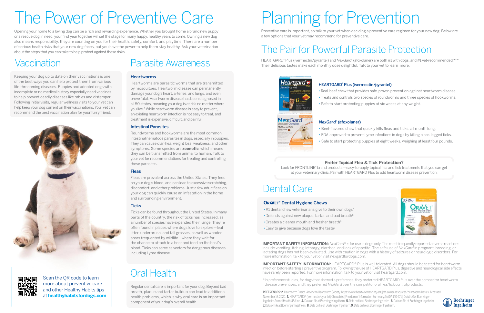Opening your home to a loving dog can be a rich and rewarding experience. Whether you brought home a brand new puppy or a rescue dog in need, your first year together will set the stage for many happy, healthy years to come. Owning a new dog also means responsibility: they are counting on you for their health, safety, comfort, and playtime. There are a number of serious health risks that your new dog faces, but you have the power to help them stay healthy. Ask your veterinarian about the steps that you can take to help protect against these risks.

# The Power of Preventive Care

more information, talk to your vet or visit nexgardfordogs.com.

have rarely been reported. For more information, talk to your vet or visit heartgard.com.

### Heartworms

Heartworms are parasitic worms that are transmitted by mosquitoes. Heartworm disease can permanently damage your dog's heart, arteries, and lungs, and even prove fatal. Heartworm disease has been diagnosed in all 50 states, meaning your dog is at risk no matter where you live.2 While heartworm disease is easy to prevent, an existing heartworm infection is not easy to treat, and treatment is expensive, difficult, and painful.

#### Intestinal Parasites

Roundworms and hookworms are the most common intestinal nematode parasites in dogs, especially in puppies. They can cause diarrhea, weight loss, weakness, and other symptoms. Some species are **zoonotic**, which means they can be transmitted from animal to human. Talk to your vet for recommendations for treating and controlling these parasites.

#### **Fleas**

- **IMPORTANT SAFETY INFORMATION:** NexGard® is for use in dogs only. The most frequently reported adverse reactions include vomiting, itching, lethargy, diarrhea, and lack of appetite. The safe use of NexGard in pregnant, breeding, or lactating dogs has not been evaluated. Use with caution in dogs with a history of seizures or neurologic disorders. For
- **IMPORTANT SAFETY INFORMATION:** HEARTGARD® Plus is well tolerated. All dogs should be tested for heartworm infection before starting a preventive program. Following the use of HEARTGARD Plus, digestive and neurological side effects
- \*In preference studies, for dogs that showed a preference, they preferred HEARTGARD Plus over the competitor heartworm
	-



Fleas are prevalent across the United States. They feed on your dog's blood, and can lead to excessive scratching, discomfort, and other problems. Just a few adult fleas on your dog can quickly cause an infestation in the home and surrounding environment.

### **Ticks**

Ticks can be found throughout the United States. In many parts of the country, the risk of ticks has increased, as a number of species have expanded their range. They're often found in places where dogs love to explore—leaf litter, underbrush, and tall grasses, as well as wooded areas frequented by wildlife—where they wait for the chance to attach to a host and feed on the host's blood. Ticks can serve as vectors for dangerous diseases, including Lyme disease.

## Parasite Awareness

# Oral Health

## Dental Care

HEARTGARD® Plus (ivermectin/pyrantel) and NexGard® (afoxolaner) are both #1 with dogs, and #1 vet-recommended.\*3-6 Their delicious tastes make each monthly dose delightful. Talk to your vet to learn more.



Regular dental care is important for your dog. Beyond bad breath, plaque and tartar buildup can lead to additional health problems, which is why oral care is an important component of your dog's overall health.

## Vaccination

Keeping your dog up to date on their vaccinations is one of the best ways you can help protect them from various life-threatening diseases. Puppies and adopted dogs with incomplete or no medical history especially need vaccines to help prevent deadly diseases like rabies and distemper. Following initial visits, regular wellness visits to your vet can help keep your dog current on their vaccinations. Your vet can recommend the best vaccination plan for your furry friend.



## 回渋回 回放进

REFERENCES: **2.** Heartworm Basics. American Heartworm Society. https://www.heartwormsociety.org/pet-owner-resources/heartworm-basics. Accessed November 16, 2020. **3.** HEARTGARD® (ivermectin/pyrantel) Chewables [Freedom of Information Summary; NADA 140-971]. Duluth, GA: Boehringer Ingelheim Animal Health USA Inc. **4.** Data on file at Boehringer Ingelheim. **5.** Data on file at Boehringer Ingelheim. **6.** Data on file at Boehringer Ingelheim. **7.** Data on file at Boehringer Ingelheim. **8.** Data on file at Boehringer Ingelheim. **9.** Data on file at Boehringer Ingelheim.

disease preventives, and they preferred NexGard over the competitor oral flea/tick control products.

### HEARTGARD® Plus (ivermectin/pyrantel)

- 
- 

•Real-beef chew that provides safe, proven prevention against heartworm disease. •Treats and controls two species of roundworms and three species of hookworms. •Safe to start protecting puppies at six weeks at any weight.

### NexGard® (afoxolaner)

- Beef-flavored chew that quickly kills fleas and ticks, all month long.
- FDA-approved to prevent Lyme infections in dogs by killing black-legged ticks.
- 

### **Prefer Topical Flea & Tick Protection?**

- Safe to start protecting puppies at eight weeks, weighing at least four pounds.
- Look for FRONTLINE® brand products easy-to-apply topical flea and tick treatments that you can get at your veterinary clinic. Pair with HEARTGARD Plus to add heartworm disease prevention.



### **ORAVET**® Dental Hygiene Chews

- $\cdot$ #1 dental chew veterinarians give to their own dogs<sup>7</sup>
- Defends against new plaque, tartar, and bad breath<sup>8</sup>
- Creates a cleaner mouth and fresher breath<sup>8</sup>
- Easy to give because dogs love the taste<sup>9</sup>

Scan the QR code to learn more about preventive care and other Healthy Habits tips at **healthyhabitsfordogs.com**

# Planning for Prevention

Preventive care is important, so talk to your vet when deciding a preventive care regimen for your new dog. Below are a few options that your vet may recommend for preventive care.

## The Pair for Powerful Parasite Protection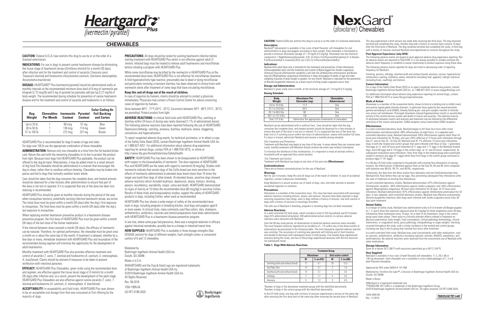

### **CHEWABLES**

**CAUTION:** Federal (U.S.A.) law restricts this drug to use by or on the order of a licensed veterinarian.

**INDICATIONS:** For use in dogs to prevent canine heartworm disease by eliminating the tissue stage of heartworm larvae (*Dirofilaria immitis*) for a month (30 days) after infection and for the treatment and control of ascarids (*Toxocara canis, Toxascaris leonina*) and hookworms (*Ancylostoma caninum, Uncinaria stenocephala, Ancylostoma braziliense*).

**DOSAGE:** HEARTGARD® Plus (ivermectin/pyrantel) should be administered orally at monthly intervals at the recommended minimum dose level of 6 mcg of ivermectin per kilogram (2.72 mcg/lb) and 5 mg of pyrantel (as pamoate salt) per kg (2.27 mg/lb) of body weight. The recommended dosing schedule for prevention of canine heartworm disease and for the treatment and control of ascarids and hookworms is as follows:

**ADMINISTRATION:** Remove only one chewable at a time from the foil-backed blister card. Return the card with the remaining chewables to its box to protect the product from light. Because most dogs find HEARTGARD Plus palatable, the product can be offered to the dog by hand. Alternatively, it may be added intact to a small amount of dog food.The chewable should be administered in a manner that encourages the dog to chew, rather than to swallow without chewing. Chewables may be broken into pieces and fed to dogs that normally swallow treats whole.

HEARTGARD Plus is recommended for dogs 6 weeks of age and older. For dogs over 100 lb use the appropriate combination of these chewables.

Care should be taken that the dog consumes the complete dose, and treated animals should be observed for a few minutes after administration to ensure that part of the dose is not lost or rejected. If it is suspected that any of the dose has been lost, redosing is recommended.

**EFFICACY:** HEARTGARD Plus Chewables, given orally using the recommended dose and regimen, are effective against the tissue larval stage of *D.immitis* for a month (30 days) after infection and, as a result, prevent the development of the adult stage. HEARTGARD Plus Chewables are also effective against canine ascarids (*T. canis, T. leonina*) and hookworms (*A. caninum, U. stenocephala, A. braziliense*).

**PRECAUTIONS:** All dogs should be tested for existing heartworm infection before starting treatment with HEARTGARD Plus which is not effective against adult *D. immitis.* Infected dogs must be treated to remove adult heartworms and microfilariae before initiating a program with HEARTGARD Plus.

HEARTGARD Plus should be given at monthly intervals during the period of the year when mosquitoes (vectors), potentially carrying infective heartworm larvae, are active. The initial dose must be given within a month (30 days) after the dog's first exposure to mosquitoes. The final dose must be given within a month (30 days) after the dog's last exposure to mosquitoes.

When replacing another heartworm preventive product in a heartworm disease preventive program, the first dose of HEARTGARD Plus must be given within a month (30 days) of the last dose of the former medication.

If the interval between doses exceeds a month (30 days), the efficacy of ivermectin can be reduced. Therefore, for optimal performance, the chewable must be given once a month on or about the same day of the month. If treatment is delayed, whether by a few days or many, immediate treatment with HEARTGARD Plus and resumption of the recommended dosing regimen will minimize the opportunity for the development of adult heartworms.

Monthly treatment with HEARTGARD Plus also provides effective treatment and control of ascarids (*T. canis, T. leonina*) and hookworms (*A. caninum, U. stenocephala, A. braziliense*). Clients should be advised of measures to be taken to prevent reinfection with intestinal parasites.

In one trial, where some pups had parvovirus, there was a marginal reduction in efficacy against intestinal nematodes, possibly due to a change in intestinal transit time.

**HOW SUPPLIED:** HEARTGARD Plus is available in three dosage strengths (See DOSAGE section) for dogs of different weights. Each strength comes in convenient cartons of 6 and 12 chewables.

**ACCEPTABILITY:** In acceptability and field trials, HEARTGARD Plus was shown to be an acceptable oral dosage form that was consumed at first offering by the majority of dogs.

While some microfilariae may be killed by the ivermectin in HEARTGARD Plus at the recommended dose level, HEARTGARD Plus is not effective for microfilariae clearance. A mild hypersensitivity-type reaction, presumably due to dead or dying microfilariae and particularly involving a transient diarrhea, has been observed in clinical trials with ivermectin alone after treatment of some dogs that have circulating microfilariae.

#### **Keep this and all drugs out of the reach of children.**

In case of ingestion by humans, clients should be advised to contact a physician immediately. Physicians may contact a Poison Control Center for advice concerning cases of ingestion by humans.

Store between 68°F - 77°F (20°C - 25°C). Excursions between 59°F - 86°F (15°C - 30°C) are permitted. Protect product from light.

**ADVERSE REACTIONS:** In clinical field trials with HEARTGARD Plus, vomiting or diarrhea within 24 hours of dosing was rarely observed (1.1% of administered doses). The following adverse reactions have been reported following the use of HEARTGARD: Depression/lethargy, vomiting, anorexia, diarrhea, mydriasis, ataxia, staggering, convulsions and hypersalivation.

To report suspected adverse drug events, for technical assistance, or to obtain a copy of the Safety Data Sheet (SDS), contact Boehringer Ingelheim Animal Health USA Inc. at 1-888-637-4251. For additional information about adverse drug experience reporting for animal drugs, contact FDA at 1-888-FDA-VETS, or online at http://www.fda.gov/AnimalVeterinary/SafetyHealth.

**SAFETY:** HEARTGARD Plus has been shown to be bioequivalent to HEARTGARD, with respect to the bioavailability of ivermectin. The dose regimens of HEARTGARD Plus and HEARTGARD are the same with regard to ivermectin (6 mcg/kg). Studies with ivermectin indicate that certain dogs of the Collie breed are more sensitive to the effects of ivermectin administered at elevated dose levels (more than 16 times the target use level) than dogs of other breeds. At elevated doses, sensitive dogs showed adverse reactions which included mydriasis, depression, ataxia, tremors, drooling, paresis, recumbency, excitability, stupor, coma and death. HEARTGARD demonstrated no signs of toxicity at 10 times the recommended dose (60 mcg/kg) in sensitive Collies. Results of these trials and bioequivalency studies, support the safety of HEARTGARD products in dogs, including Collies, when used as recommended.

HEARTGARD Plus has shown a wide margin of safety at the recommended dose level in dogs, including pregnant or breeding bitches, stud dogs and puppies aged 6 or more weeks. In clinical trials, many commonly used flea collars, dips, shampoos, anthelmintics, antibiotics, vaccines and steroid preparations have been administered with HEARTGARD Plus in a heartworm disease prevention program.

Afoxolaner is a member of the isoxazoline family, shown to bind at a binding site to inhibit insect and acarine ligand-gated chloride channels, in particular those gated by the neurotransmitter gamma-aminobutyric acid (GABA), thereby blocking pre- and post-synaptic transfer of chloride ions across cell membranes. Prolonged afoxolaner-induced hyperexcitation results in uncontrolled activity of the central nervous system and death of insects and acarines. The selective toxicity of afoxolaner between insects and acarines and mammals may be inferred by the differential sensitivity of the insects and acarines' GABA receptors versus mammalian GABA receptors.

Marketed by Boehringer Ingelheim Animal Health USA Inc. Duluth, GA 30096 Made in U.S.A. ®HEARTGARD and the Dog & Hand Logo are registered trademarks of Boehringer Ingelheim Animal Health USA Inc. ©2019 Boehringer Ingelheim Animal Health USA Inc. All Rights Reserved. Rev. 08-2018 1050-1999-04. US-PET-0199-2020.



| Doa<br>Weight | <b>Chewables</b><br><b>Per Month</b> | <i><u><b>Ivermectin</b></u></i><br><b>Content</b> | <b>Pyrantel</b><br><b>Content</b> | <b>Color Coding On</b><br><b>Foil Backing</b><br>and Carton |
|---------------|--------------------------------------|---------------------------------------------------|-----------------------------------|-------------------------------------------------------------|
| Up to 25 lb   |                                      | 68 mcg                                            | 57 <sub>mg</sub>                  | Blue                                                        |
| 26 to 50 lb   |                                      | $136 \text{ mcg}$                                 | $114 \text{ mg}$                  | Green                                                       |
| 51 to 100 lb  |                                      | $272 \text{ mcq}$                                 | 227 mg                            | Brown                                                       |

In a 90-day US field study conducted in households with existing flea infestations of varying severity, the effectiveness of NexGard against fleas on the Day 30, 60 and 90 visits compared with baseline was 98.0%, 99.7%, and 99.9%, respectively.

|                                   | <b>Treatment Group</b> |             |                            |             |
|-----------------------------------|------------------------|-------------|----------------------------|-------------|
|                                   | <b>Afoxolaner</b>      |             | <b>Oral active control</b> |             |
|                                   | N <sup>1</sup>         | $% (n=415)$ | N <sup>2</sup>             | $% (n=200)$ |
| Vomiting (with and without blood) | 17                     | 4.1         | 25                         | 12.5        |
| Dry/Flaky Skin                    | 13                     | 3.1         |                            | 1.0         |
| Diarrhea (with and without blood) | 13                     | 3.1         |                            | 3.5         |
| Lethargy                          |                        | 1.7         |                            | 2.0         |
| Anorexia                          | 5                      | 1.2         | g                          | 4.5         |

In well-controlled laboratory studies, NexGard demonstrated >97% effectiveness against *Dermacentor variabilis,* >94% effectiveness against *Ixodes scapularis,* and >93% effectiveness against *Rhipicephalus sanguineus,* 48 hours post-infestation for 30 days. At 72 hours postinfestation, NexGard demonstrated >97% effectiveness against *Amblyomma americanum* for 30 days. In two separate, well-controlled laboratory studies, NexGard was effective at preventing *Borrelia burgdorferi* infections after dogs were infested with *Ixodes scapularis* vector ticks 28 days post-treatment.

provide a minimum afoxolaner dosage of 1.14 mg/lb (2.5 mg/kg). Afoxolaner has the chemical composition 1-Naphthalenecarboxamide, 4-[5- [3-chloro-5-(trifluoromethyl)-phenyl]-4, 5-dihydro-5-(trifluoromethyl)-3-isoxazolyl]-N-[2-oxo-2-[(2,2,2-trifluoroethyl)amino]ethyl.

#### **Indications:**

#### **Dosage and Administration:**

NexGard is given orally once a month, at the minimum dosage of 1.14 mg/lb (2.5 mg/kg). **Dosing Schedule:**

If a dose is missed, administer NexGard and resume a monthly dosing schedule. *Flea Treatment and Prevention:* To minimize the likelihood of flea reinfestation, it is important to treat all animals within a

Treatment with NexGard may begin at any time of the year (see **Effectiveness**).

#### **Contraindications:** There are no known contraindications for the use of NexGard.

**CAUTION:** Federal (USA) law restricts this drug to use by or on the order of a licensed veterinarian. **Description:** NexGard® (afoxolaner) is available in four sizes of beef-flavored, soft chewables for oral administration to dogs and puppies according to their weight. Each chewable is formulated to This dog experienced a third seizure one week after receiving the third dose. The dog remained enrolled and completed the study. Another dog with a history of seizures had a seizure 19 days after the third dose of NexGard. The dog remained enrolled and completed the study. A third dog with a history of seizures received NexGard and experienced no seizures throughout the study.

Keep NexGard in a secure location out of reach of dogs, cats, and other animals to prevent accidental ingestion or overdose.

#### **Precautions:**

Afoxolaner is a member of the isoxazoline class. This class has been associated with neurologic adverse reactions including tremors, ataxia, and seizures. Seizures have been reported in dogs receiving isoxazoline class drugs, even in dogs without a history of seizures. Use with caution in dogs with a history of seizures or neurologic disorders.

NexGard kills adult fleas and is indicated for the treatment and prevention of flea infestations *(Ctenocephalides felis)*, and the treatment and control of Black-legged tick *(Ixodes scapularis),* American Dog tick *(Dermacentor variabilis),* Lone Star tick *(Amblyomma americanum),* and Brown dog tick (*Rhipicephalus sanguineus*) infestations in dogs and puppies 8 weeks of age and older, weighing 4 pounds of body weight or greater, for one month. NexGard is indicated for the prevention of *Borrelia burgdorferi* infections as a direct result of killing *Ixodes scapularis* vector ticks. frequency for NexGard: Vomiting, pruritus, lethargy, diarrhea (with and without blood), anorexia, seizure, hyperactivity/ restlessness, panting, erythema, ataxia, dermatitis (including rash, papules), allergic reactions (including hives, swelling), and tremors.

The safe use of NexGard in breeding, pregnant or lactating dogs has not been evaluated.

#### **Adverse Reactions:**

In a well-controlled US field study, which included a total of 333 households and 615 treated dogs (415 administered afoxolaner; 200 administered active control), no serious adverse reactions were observed with NexGard.

Over the 90-day study period, all observations of potential adverse reactions were recorded. The most frequent reactions reported at an incidence of > 1% within any of the three months of observations are presented in the following table. The most frequently reported adverse reaction was vomiting. The occurrence of vomiting was generally self-limiting and of short duration and tended to decrease with subsequent doses in both groups. Five treated dogs experienced anorexia during the study, and two of those dogs experienced anorexia with the first dose but not subsequent doses.

#### **Table 1: Dogs With Adverse Reactions.**

1 Number of dogs in the afoxolaner treatment group with the identified abnormality. 2 Number of dogs in the control group with the identified abnormality.

In the US field study, one dog with a history of seizures experienced a seizure on the same day after receiving the first dose and on the same day after receiving the second dose of NexGard.





NexGard can be administered with or without food. Care should be taken that the dog consumes the complete dose, and treated animals should be observed for a few minutes to ensure that part of the dose is not lost or refused. If it is suspected that any of the dose has been lost or if vomiting occurs within two hours of administration, redose with another full dose. Treatment with NexGard may begin at any time of the year. In areas where fleas are common year-round, monthly treatment with NexGard should continue the entire year without interruption. household with an approved flea control product. *Tick Treatment and Control:* **Effectiveness:** In a well-controlled laboratory study, NexGard began to kill fleas four hours after initial administration and demonstrated >99% effectiveness at eight hours. In a separate well-controlled laboratory study, NexGard demonstrated 100% effectiveness against adult fleas 24 hours post-infestation for 35 days, and was ≥93% effective at 12 hours post-infestation through Day 21, and on Day 35. On Day 28, NexGard was 81.1% effective 12 hours post-infestation. Dogs in both the treated and control groups that were infested with fleas on Day -1 generated flea eggs at 12- and 24-hours post-treatment (0-11 eggs and 1-17 eggs in the NexGard treated dogs, and 4-90 eggs and 0-118 eggs in the control dogs, at 12- and 24-hours, respectively). At subsequent evaluations post-infestation, fleas from dogs in the treated group were essentially unable to produce any eggs (0-1 eggs) while fleas from dogs in the control group continued to produce eggs (1-141 eggs).

#### **Post-Approval Experience (July 2018):**

The following adverse events are based on post-approval adverse drug experience reporting. Not all adverse events are reported to FDA/CVM. It is not always possible to reliably estimate the adverse event frequency or establish a causal relationship to product exposure using these data. The following adverse events reported for dogs are listed in decreasing order of reporting

**Warnings:** Not for use in humans. Keep this and all drugs out of the reach of children. In case of accidental ingestion, contact a physician immediately. Collectively, the data from the three studies (two laboratory and one field) demonstrate that NexGard kills fleas before they can lay eggs, thus preventing subsequent flea infestations after the start of treatment of existing flea infestations.

#### **Contact Information:**

For a copy of the Safety Data Sheet (SDS) or to report suspected adverse drug events, contact Boehringer Ingelheim Animal Health USA Inc. at 1-888-637-4251 or www.nexgardfordogs.com.

For additional information about adverse drug experience reporting for animal drugs, contact FDA at 1-888-FDA-VETS or www.fda.gov/reportanimalae.

#### **Mode of Action:**

#### **Animal Safety:**

In a margin of safety study, NexGard was administered orally to 8 to 9-week-old Beagle puppies at 1, 3, and 5 times the maximum exposure dose (6.3 mg/kg) for three treatments every 28 days, followed by three treatments every 14 days, for a total of six treatments. Dogs in the control group were sham-dosed. There were no clinically-relevant effects related to treatment on physical examination, body weight, food consumption, clinical pathology (hematology, clinical chemistries, or coagulation tests), gross pathology, histopathology or organ weights. Vomiting occurred throughout the study, with a similar incidence in the treated and control groups, including one dog in the 5x group that vomited four hours after treatment.

In a well-controlled field study, NexGard was used concomitantly with other medications, such as vaccines, anthelmintics, antibiotics (including topicals), steroids, NSAIDS, anesthetics, and antihistamines. No adverse reactions were observed from the concomitant use of NexGard with other medications.

#### **Storage Information:**

Store at or below 30°C (86°F) with excursions permitted up to 40°C (104°F).

#### **How Supplied:**

NexGard is available in four sizes of beef-flavored soft chewables: 11.3, 28.3, 68 or 136 mg afoxolaner. Each chewable size is available in color-coded packages of 1, 3 or 6 beef-flavored chewables.

Approved by FDA under NADA # 141-406

Marketed by: Frontline Vet Labs™, a Division of Boehringer Ingelheim Animal Health USA Inc. Duluth, GA 30096

Made in Brazil.

®NexGard is a registered trademark and

TMFRONTLINE VET LABS is a trademark of the Boehringer Ingelheim Group. ©2019 Boehringer Ingelheim Animal Health USA Inc. All rights reserved. US-PET-0390-2020.

1050-4493-09 Rev. 11/2019



| <b>Body</b><br>Weight | <b>Afoxolaner Per</b><br>Chewable (mg)              | <b>Chewables</b><br><b>Administered</b> |  |
|-----------------------|-----------------------------------------------------|-----------------------------------------|--|
| 4.0 to 10.0 lbs.      | 11.3                                                | One                                     |  |
| 10.1 to 24.0 lbs.     | 28.3                                                | <b>One</b>                              |  |
| 24.1 to 60.0 lbs.     | 68                                                  | One                                     |  |
| 60.1 to 121.0 lbs.    | 136                                                 | One                                     |  |
| Over 121.0 lbs.       | Administer the appropriate combination of chewables |                                         |  |